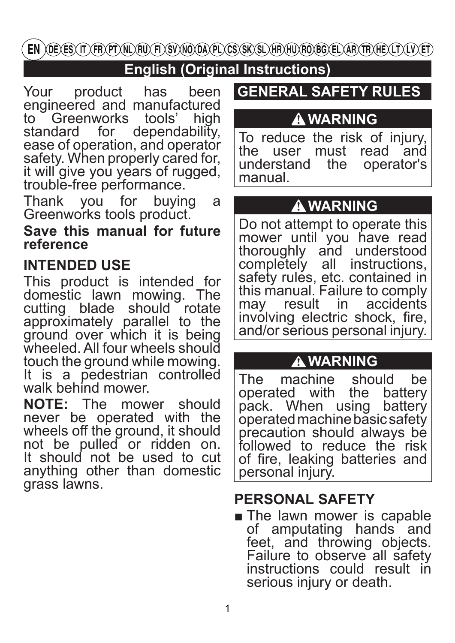EN )OE) ES) IT) FR) PT) NL) RU) FI) SV) NO OA) PL) CS) SK) SL) HR) HU) RO BG) EL) AR) TR) HE) LT) LV) ET)

# **English (Original Instructions)**

Your product has been engineered and manufactured to Greenworks tools' high<br>standard for dependability. dependability, ease of operation, and operator safety. When properly cared for, it will give you years of rugged, trouble-free performance.

Thank you for buying a Greenworks tools product.

**Save this manual for future reference**

## **INTENDED USE**

This product is intended for domestic lawn mowing. The cutting blade should rotate approximately parallel to the ground over which it is being wheeled. All four wheels should touch the ground while mowing. It is a pedestrian controlled walk behind mower.<br> **NOTE:** The mow

mower should never be operated with the wheels off the ground, it should not be pulled or ridden on. It should not be used to cut anything other than domestic grass lawns.

## **GENERAL SAFETY RULES**

# **WARNING**

To reduce the risk of injury,<br>the user must read and must read and<br>the operator's understand manual.

# **WARNING**

Do not attempt to operate this mower until you have read thoroughly and understood<br>completely all instructions. completely all safety rules, etc. contained in this manual. Failure to comply<br>may result in accidents may result involving electric shock, fire, and/or serious personal injury.

## **WARNING**

The machine should be<br>operated with the battery operated with the battery<br>pack. When using battery pack. When using operated machine basic safety precaution should always be followed to reduce the risk of fire, leaking batteries and personal injury.

# **PERSONAL SAFETY**

■ The lawn mower is capable of amputating hands and feet, and throwing objects. Failure to observe all safety instructions could result in serious injury or death.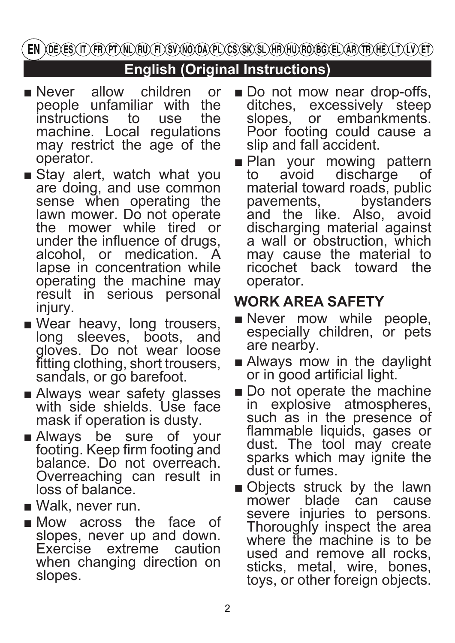EN )OE) ES) IT) FR) PT) NL) RU) FI) SV) NO OA) PL) CS) SK) SL) HR) HU) RO BG) EL) AR) TR) HE) LT) LV) ET)

# **English (Original Instructions)**

- Never allow children or people unfamiliar with the<br>instructions to use the instructions to machine. Local regulations may restrict the age of the operator.
- Stay alert, watch what you are doing, and use common sense when operating the lawn mower. Do not operate the mower while tired or under the influence of drugs, alcohol, or medication. A lapse in concentration while operating the machine may result in serious personal injury.
- Wear heavy, long trousers, long sleeves, boots, and gloves. Do not wear loose fitting clothing, short trousers, sandals, or go barefoot.
- Always wear safety glasses with side shields. Use face mask if operation is dusty.
- Always be sure of your footing. Keep firm footing and balance. Do not overreach. Overreaching can result in loss of balance.
- Walk, never run.
- Mow across the face of slopes, never up and down. Exercise extreme caution when changing direction on slopes.
- Do not mow near drop-offs, ditches, excessively steep slopes, or embankments. Poor footing could cause a slip and fall accident.
- Plan your mowing pattern<br>to avoid discharge of discharge material toward roads, public<br>pavements. bystanders bystanders and the like. Also, avoid discharging material against a wall or obstruction, which may cause the material to ricochet back toward the operator.

# **WORK AREA SAFETY**

- Never mow while people, especially children, or pets are nearby.
- Always mow in the daylight or in good artificial light.
- Do not operate the machine in explosive atmospheres, such as in the presence of flammable liquids, gases or dust. The tool may create sparks which may ignite the dust or fumes.
- Objects struck by the lawn<br>mower blade can cause mower blade severe injuries to persons. Thoroughly inspect the area where the machine is to be used and remove all rocks, sticks, metal, wire, bones, toys, or other foreign objects.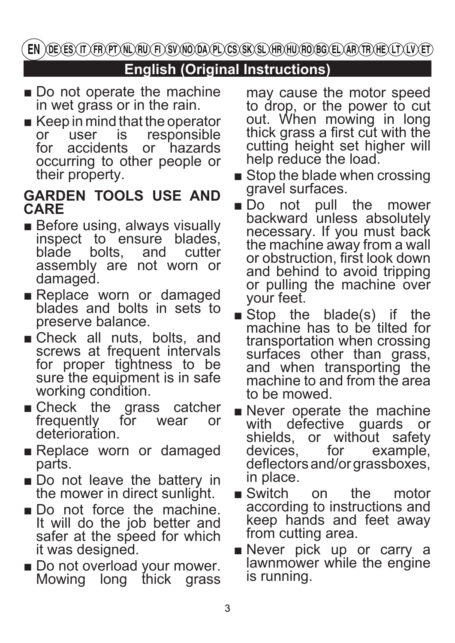EN )OE) ES) IT) FR) PT) NL) RU) FI) SV) NO OA) PL) CS) SK) SL) HR) HU) RO) BG) EL) AR) TR) HE) LT) LV) ET

## **English (Original Instructions)**

- Do not operate the machine in wet grass or in the rain.
- Keep in mind that the operator<br>or user is responsible or user is responsible<br>for accidents or hazards or hazards occurring to other people or their property.

### **GARDEN TOOLS USE AND CARE**

- Before using, always visually inspect to ensure blades,<br>blade bolts, and cutter bolts, assembly are not worn or damaged.
- Replace worn or damaged blades and bolts in sets to preserve balance.
- Check all nuts, bolts, and screws at frequent intervals for proper tightness to be sure the equipment is in safe working condition.
- Check the grass catcher<br>frequently for wear or frequently for wear or deterioration.
- Replace worn or damaged parts.
- Do not leave the battery in the mower in direct sunlight.
- Do not force the machine. It will do the job better and safer at the speed for which it was designed.
- Do not overload your mower.<br>Mowing long thick grass Mowing long thick

may cause the motor speed to drop, or the power to cut out. When mowing in long thick grass a first cut with the cutting height set higher will help reduce the load.

- Stop the blade when crossing gravel surfaces.
- Do not pull the mower backward unless absolutely necessary. If you must back the machine away from a wall or obstruction, first look down and behind to avoid tripping or pulling the machine over your feet.
- Stop the blade(s) if the machine has to be tilted for transportation when crossing surfaces other than grass, and when transporting the machine to and from the area to be mowed.
- Never operate the machine with defective guards or shields, or without safety<br>devices, for example, example, deflectors and/or grassboxes, in place.
- Switch on the motor according to instructions and keep hands and feet away from cutting area.
- Never pick up or carry a lawnmower while the engine is running.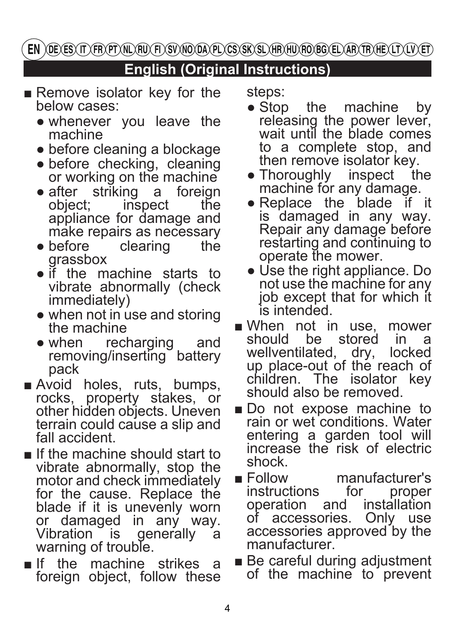EN )OE) ES) IT) FR) PT) NL) RU) FI) SV) NO OA) PL) CS) SK) SL) HR) HU) RO BG) EL) AR) TR) HE) LT) LV) ET)

# **English (Original Instructions)**

- Remove isolator key for the below cases:
	- whenever you leave the machine
	- before cleaning a blockage
	- before checking, cleaning or working on the machine<br>after striking a foreign
	- after striking a foreign<br>object; inspect the inspect appliance for damage and make repairs as necessary<br>before clearing the
	- $\bullet$  before grassbox
	- if the machine starts to vibrate abnormally (check immediately)
	- when not in use and storing the machine
	- when recharging and removing/inserting battery pack
- Avoid holes, ruts, bumps, rocks, property stakes, or other hidden objects. Uneven terrain could cause a slip and fall accident.
- If the machine should start to vibrate abnormally, stop the motor and check immediately for the cause. Replace the blade if it is unevenly worn or damaged in any way.<br>Vibration is generally a generally a warning of trouble.
- If the machine strikes a foreign object, follow these

steps:

- Stop the machine by releasing the power lever, wait until the blade comes to a complete stop, and then remove isolator key.
- Thoroughly inspect the machine for any damage.<br>Replace the blade if it
- $\bullet$  Replace the blade is damaged in any way. Repair any damage before restarting and continuing to operate the mower.
- Use the right appliance. Do not use the machine for any job except that for which it is intended.
- When not in use, mower<br>should be stored in a should be stored in a<br>wellventilated dry locked wellventilated, dry, up place-out of the reach of children. The isolator key should also be removed.
- Do not expose machine to rain or wet conditions. Water entering a garden tool will increase the risk of electric shock.
- Follow manufacturer's<br>instructions for proper instructions for proper<br>operation and installation operation and installation<br>of accessories. Only use of accessories. accessories approved by the manufacturer.
- Be careful during adjustment of the machine to prevent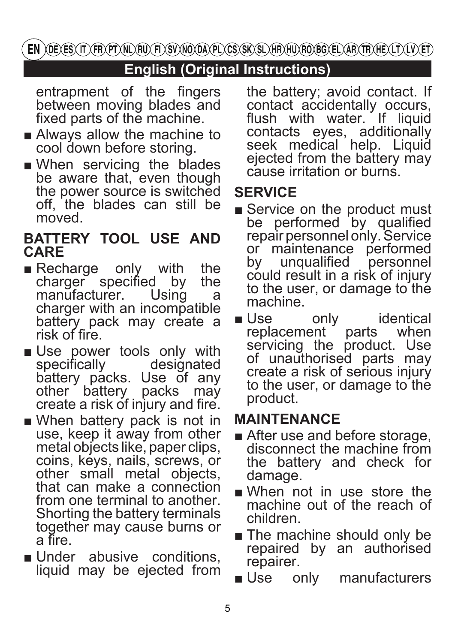## **English (Original Instructions)**

entrapment of the fingers between moving blades and fixed parts of the machine.

- Always allow the machine to cool down before storing.
- When servicing the blades be aware that, even though the power source is switched off, the blades can still be moved.

### **BATTERY TOOL USE AND CARE**

- Recharge only with the charger specified by the charger specified by the<br>manufacturer. Using a manufacturer. charger with an incompatible battery pack may create a risk of fire.
- Use power tools only with specifically designated specifically battery packs. Use of any other battery packs may create a risk of injury and fire.
- When battery pack is not in use, keep it away from other metal objects like, paper clips, coins, keys, nails, screws, or other small metal objects, that can make a connection from one terminal to another. Shorting the battery terminals together may cause burns or a fire.
- Under abusive conditions, liquid may be ejected from

the battery; avoid contact. If contact accidentally occurs, flush with water. If liquid contacts eyes, additionally seek medical help. Liquid ejected from the battery may cause irritation or burns.

# **SERVICE**

- Service on the product must be performed by qualified repair personnel only. Service or maintenance performed<br>by unqualified personnel unqualified personnel could result in a risk of injury to the user, or damage to the machine.
- Use only identical replacement parts when servicing the product. Use of unauthorised parts may create a risk of serious injury to the user, or damage to the product.

# **MAINTENANCE**

- After use and before storage, disconnect the machine from the battery and check for damage.
- When not in use store the machine out of the reach of children.
- The machine should only be repaired by an authorised repairer.
- Use only manufacturers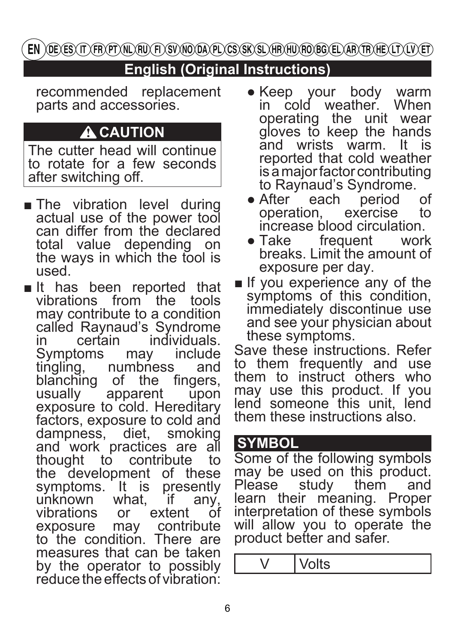# **English (Original Instructions)**

recommended replacement parts and accessories.

# **A** CAUTION

The cutter head will continue to rotate for a few seconds after switching off.

- The vibration level during actual use of the power tool can differ from the declared total value depending on the ways in which the tool is used.
- It has been reported that vibrations from the tools may contribute to a condition called Raynaud's Syndrome<br>in certain individuals. individuals.<br>v include Symptoms may include<br>tingling numbness and tingling, numbness and<br>blanching of the fingers. blanching of the fingers,<br>usually apparent upon usually  $\overline{\phantom{a}}$ exposure to cold. Hereditary factors, exposure to cold and<br>dampness. diet. smoking dampness, diet, and work practices are all<br>thought to contribute to thought to contribute the development of these<br>symptoms. It is presently symptoms. It is presently<br>unknown what, if any, unknown wha<br>vibrations or extent of<br>contribute exposure may contribute to the condition. There are measures that can be taken by the operator to possibly reduce the effects of vibration:
- Keep your body warm in cold weather. When operating the unit wear gloves to keep the hands and wrists warm. It is reported that cold weather is a major factor contributing to Raynaud's Syndrome.<br>After each period
- After each period of operation, exercise to operation, exercise increase blood circulation.<br>• Take frequent work
- frequent breaks. Limit the amount of exposure per day.
- If you experience any of the symptoms of this condition. immediately discontinue use and see your physician about these symptoms.

Save these instructions. Refer to them frequently and use them to instruct others who may use this product. If you lend someone this unit. lend them these instructions also.

### **SYMBOL**

Some of the following symbols may be used on this product.<br>Please study them and study them learn their meaning. Proper interpretation of these symbols will allow you to operate the product better and safer.

V Volts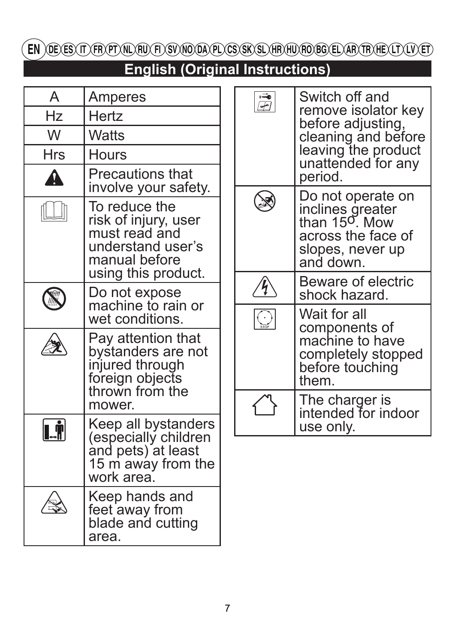EN) DE ES (T) FRYPT NU FU FI) SV NO DA PL CS (SK SL) HR HU FO BG EL AR TR HE (LT (LV ET)

# **English (Original Instructions)**

| A                      | Amperes                                                                                               |  | $\overline{\mathbb{F}}$ | Switch off and<br>remove isolator key<br>before adjusting,                                                              |                                                                   |  |
|------------------------|-------------------------------------------------------------------------------------------------------|--|-------------------------|-------------------------------------------------------------------------------------------------------------------------|-------------------------------------------------------------------|--|
| Hz                     | <b>Hertz</b>                                                                                          |  |                         |                                                                                                                         |                                                                   |  |
| W                      | <b>Watts</b>                                                                                          |  |                         | cleaning and before                                                                                                     |                                                                   |  |
| Hrs                    | <b>Hours</b>                                                                                          |  |                         | leaving the product<br>unattended for any                                                                               |                                                                   |  |
| Λ                      | <b>Precautions that</b><br>involve your safety.                                                       |  |                         | period.                                                                                                                 |                                                                   |  |
|                        | To reduce the<br>risk of injury, user<br>must read and<br>understand user's<br>manual before          |  |                         | Do not operate on<br>inclines greater<br>than $15^{\circ}$ . Mow<br>across the face of<br>slopes, never up<br>and down. |                                                                   |  |
|                        | using this product.<br>Do not expose                                                                  |  | f                       | Beware of electric<br>shock hazard.                                                                                     |                                                                   |  |
|                        | machine to rain or<br>wet conditions.                                                                 |  | $\frac{1}{\sin \theta}$ | Wait for all<br>components of                                                                                           |                                                                   |  |
|                        | Pay attention that<br>bystanders are not<br>injured through<br>foreign objects<br>thrown from the     |  |                         |                                                                                                                         | machine to have<br>completely stopped<br>before touching<br>them. |  |
|                        | mower.                                                                                                |  |                         | The charger is<br>intended for indoor                                                                                   |                                                                   |  |
| $\left[\right.\right]$ | Keep all bystanders<br>(especially children<br>and pets) at least<br>15 m away from the<br>work area. |  |                         | use only.                                                                                                               |                                                                   |  |
|                        | Keep hands and<br>feet away from<br>blade and cutting<br>area.                                        |  |                         |                                                                                                                         |                                                                   |  |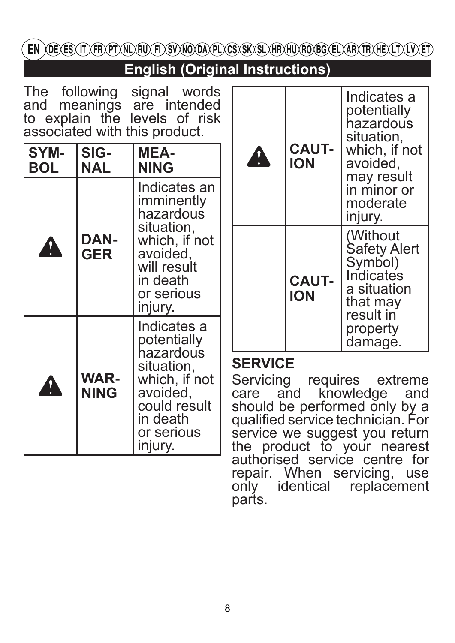EN ) DE ES (IT ) FR PT (NL) FU (FI) SV (NO DA) PL) CS (SK) SL) HR (HU) FO BG (EL) AR (TR) HE (LT) LV (ET

**English (Original Instructions)**

|  | The following signal words                                                                  |  |
|--|---------------------------------------------------------------------------------------------|--|
|  |                                                                                             |  |
|  |                                                                                             |  |
|  | and meanings are intended<br>to explain the levels of risk<br>associated with this product. |  |

| SYM-<br><b>BOL</b>  | SIG-<br>NAL        | MEA-<br><b>NING</b>                                                                                                                     |  |  |
|---------------------|--------------------|-----------------------------------------------------------------------------------------------------------------------------------------|--|--|
|                     | DAN-<br><b>GER</b> | Indicates an<br>imminently<br>hazardous<br>situation,<br>which, if not<br>avoided,<br>will result<br>in death<br>or serious<br>injury.  |  |  |
| WAR-<br><b>NING</b> |                    | Indicates a<br>potentially<br>hazardous<br>situation,<br>which, if not<br>avoided,<br>could result<br>in death<br>or serious<br>injury. |  |  |

| <b>CAUT-</b><br><b>ION</b> | Indicates a<br>potentially<br>hazardous<br>situation,<br>which, if not<br>avoided,<br>may result<br>in minor or<br>moderate |
|----------------------------|-----------------------------------------------------------------------------------------------------------------------------|
|                            | injury.<br>(Without<br><b>Safety Alert</b>                                                                                  |
| <b>CAUT-</b><br><b>ION</b> | Symbol)<br>Indicates<br>a situation<br>that may<br>result in<br>property<br>damage.                                         |

### **SERVICE**

Servicing requires extreme care and knowledge and should be performed only by a qualified service technician. For service we suggest you return the product to your nearest authorised service centre for repair. When servicing, use only identical replacement parts.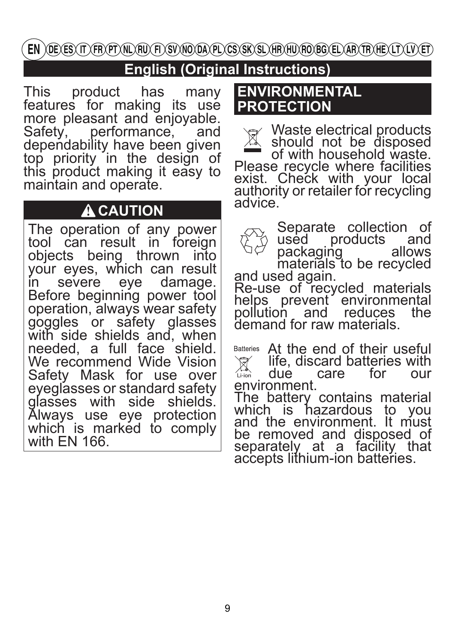EN )OE) ES) IT) (FR) PT) NL) RU) FI) SV) NO OA) PL) CS) SK) SL) HR) HU) RO BG) EL) AR) TR) HE) LT) LV) ET)

# **English (Original Instructions)**

This product has many features for making its use more pleasant and enjoyable.<br>Safety, performance, and performance, and dependability have been given top priority in the design of this product making it easy to maintain and operate.

# **A** CAUTION

The operation of any power tool can result in foreign objects being thrown into your eyes, which can result<br>in severe eye damage. severe Before beginning power tool operation, always wear safety goggles or safety glasses with side shields and, when needed, a full face shield. We recommend Wide Vision Safety Mask for use over eyeglasses or standard safety glasses with side shields. Always use eye protection which is marked to comply with EN 166.

### **ENVIRONMENTAL PROTECTION**

Waste electrical products should not be disposed of with household waste. Please recycle where facilities exist. Check with your local authority or retailer for recycling advice.

Separate collection of used products and<br>packaging allows packaging materials to be recycled<br>and used again. Re-use of recycled materials

helps prevent environmental<br>pollution and reduces the reduces the demand for raw materials.

Batteries At the end of their useful life, discard batteries with<br>due care for our care for Li-ion environment.

The battery contains material which is hazardous to you and the environment. It must be removed and disposed of separately at a facility that accepts lithium-ion batteries.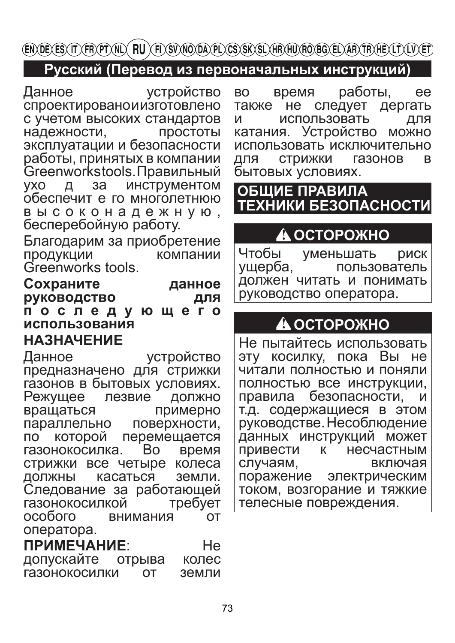### Русский (Перевод из первоначальных инструкций)

Данное **УСТРОЙСТВО** спроектированоиизготовлено с учетом высоких стандартов надежности, простоты эксплуатации и безопасности работы, принятых в компании Greenworkstools. Правильный инструментом VXO Д за обеспечит е го многолетнюю высоконадежную, бесперебойную работу.

Благодарим за приобретение ПРОДУКЦИИ компании Greenworks tools.

#### Сохраните данное руководство для последующего использования **НАЗНАЧЕНИЕ**

Данное **УСТРОЙСТВО** предназначено для стрижки газонов в бытовых условиях. Режущее лезвие ДОЛЖНО вращаться примерно параллельно поверхности, которой перемещается  $\mathsf{d}$ газонокосилка. **Bo** время стрижки все четыре колеса касаться земли. ДОЛЖНЫ Следование за работающей газонокосилкой требует особого внимания **OT** оператора.

ПРИМЕЧАНИЕ: He допускайте колес отрыва газонокосилки  $\Omega$ земли

работы, BO. время ee также не следует дергать и использовать ДЛЯ катания. Устройство **МОЖНО** использовать исключительно **СТРИЖКИ** ДЛЯ газонов B бытовых условиях.

# ОБШИЕ ПРАВИЛА ТЕХНИКИ БЕЗОПАСНОСТИ

# ≜ ОСТОРОЖНО

Чтобы уменьшать **риск** ущерба, пользователь должен читать и понимать руководство оператора.

# **A OCTOPOXHO**

Не пытайтесь использовать эту косилку, пока Вы не читали полностью и поняли полностью все инструкции, правила безопасности. т.д. содержащиеся в этом руководстве. Несоблюдение данных инструкций может привести несчастным К случаям, включая поражение электрическим током, возгорание и тяжкие телесные повреждения.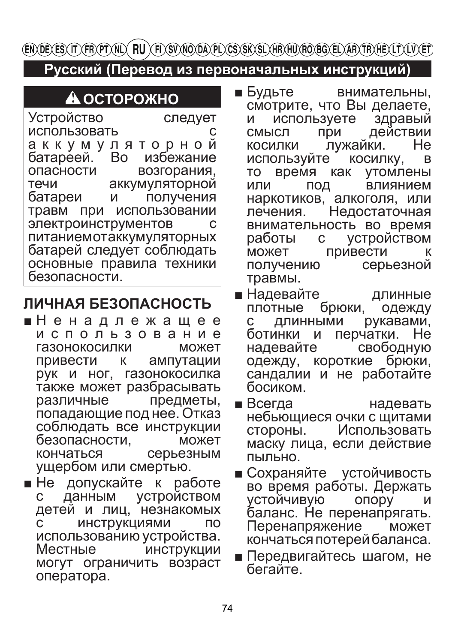Русский (Перевод из первоначальных инструкций)

А ОСТОРОЖНО

**Устройство** следует использовать C аккумуляторной Во избежание батареей. возгорания. опасности аккумуляторной течи батареи и получения использовании травм при электроинструментов  $\mathsf{C}$ питаниемотаккумуляторных батарей следует соблюдать основные правила техники безопасности.

# ЛИЧНАЯ БЕЗОПАСНОСТЬ

- ■Ненадлежащее использование газонокосилки может привести ампутации  $\mathsf{K}$ рук и ног, газонокосилка также может разбрасывать различные предметы, попадающие под нее. Отказ соблюдать все инструкции безопасности. может кончаться серьезным ущербом или смертью.
- $\blacksquare$  Не допускайте к работе данным устройством детей и лиц, незнакомых **ИНСТРУКЦИЯМИ NO**  $\mathbf{c}$ использованию устройства. Местные инструкции могут ограничить возраст оператора.
- $\blacksquare$  Будьте внимательны. смотрите, что Вы делаете, используете здравый И действии СМЫСЛ при He лужайки. косилки косилку, используйте B время как TO **УТОМЛЕНЫ** или ПОД влиянием наркотиков, алкоголя, или Недостаточная лечения. внимательность во время работы с устройством привести может К получению серьезной травмы.
- $\blacksquare$  Надевайте длинные брюки, одежду плотные рукавами. ДЛИННЫМИ  $\mathbf{C}$ перчатки. Не ботинки и свободную надевайте одежду, короткие брюки. сандалии и не работайте босиком.
- $\blacksquare$  Всегда надевать небьющиеся очки с щитами стороны. Использовать маску лица, если действие пыльно.
- Сохраняйте устойчивость во время работы. Держать опору устойчивую и баланс. Не перенапрягать. Перенапряжение может кончаться потерей баланса.
- Передвигайтесь шагом, не бегайте.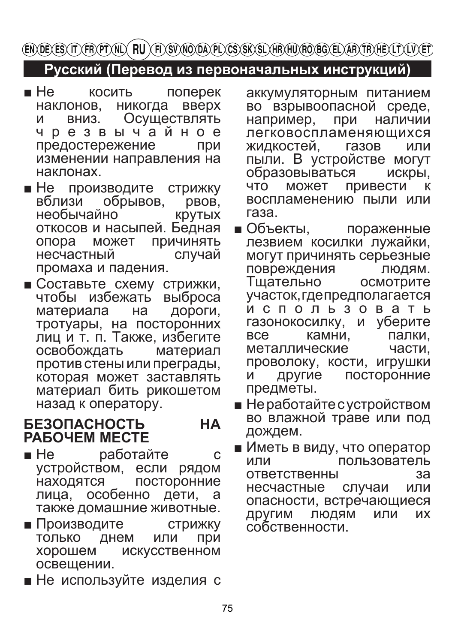ENDEXES IT VER PT NUX FUX FOS VNO DA PL CS SK SL HERHU FO BG EL AER TE HEX LT X LY ET

### Русский (Перевод из первоначальных инструкций)

- $\blacksquare$  He **КОСИТЬ** поперек никогда вверх наклонов. Осуществлять **M** ВНИЗ. чрезвычайное предостережение при изменении направления на наклонах.
- $\blacksquare$  Не производите СТРИЖКУ DBOB, обрывов. вблизи **KDVTbIX** необычайно откосов и насыпей. Бедная ПРИЧИНЯТЬ опора может случай несчастный промаха и падения.
- Составьте схему стрижки, чтобы избежать выброса дороги, материала на тротуары, на посторонних лиц и т. п. Также, избегите освобождать материал против стены или преграды, которая может заставлять материал бить рикошетом назад к оператору.

#### **БЕЗОПАСНОСТЬ HA PAGOYEM MECTE**

- $H$  He работайте C устройством, если рядом находятся посторонние особенно дети. лица. a также домашние животные.
- Производите **СТРИЖКУ** только днем или При хорошем **ИСКУССТВЕННОМ** освешении.
- Не используйте изделия с

аккумуляторным питанием во взрывоопасной среде, например, при наличии легковоспламеняющихся жидкостей. газов или пыли. В устройстве могут образовываться искры, ЧТО может привести К воспламенению пыли или газа.

- $\blacksquare$  Объекты, пораженные лезвием косилки лужайки. могут причинять серьезные повреждения ЛЮДЯМ. Тшательно **ОСМОТРИТЕ** участок, гдепредполагается использовать газонокосилку, И уберите **BCA** камни. палки. металлические части. проволоку, кости, игрушки посторонние другие и предметы.
- Неработайте с устройством во влажной траве или под дождем.
- Иметь в виду, что оператор пользователь или **ОТВЕТСТВЕННЫ** за случаи несчастные или опасности, встречающиеся ДРУГИМ людям ИХ или собственности.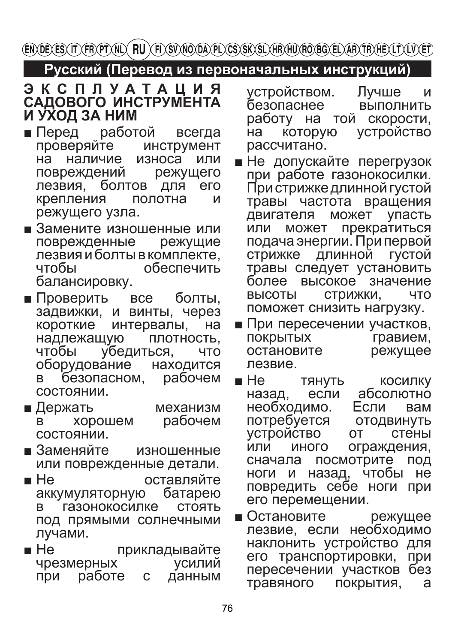### Русский (Перевод из первоначальных инструкций)

# ЭКСПЛУАТАЦИЯ<br>САДОВОГО ИНСТРУМЕНТА И УХОД ЗА НИМ

- Перед работой всегда проверяйте **ИНСТРУМЕНТ** наличие износа на ипи повреждений режущего лезвия. болтов для **ero** крепления полотна И режущего узла.
- Замените изношенные или поврежденные режущие лезвия и болты в комплекте. обеспечить чтобы балансировку.
- $\blacksquare$  Проверить болты. все задвижки, и винты, через короткие интервалы, на плотность. надлежащую чтобы убедиться, **YTO** оборудование находится безопасном, рабочем <sub>R</sub> СОСТОЯНИИ.
- $\blacksquare$  Держать механизм рабочем хорошем в состоянии.
- $\blacksquare$ Заменяйте изношенные или поврежденные детали.
- $\blacksquare$  He оставляйте аккумуляторную батарею газонокосилке СТОЯТЬ под прямыми солнечными лучами.
- $\blacksquare$  He прикладывайте чрезмерных **VCИЛИЙ** при работе  $\mathbf C$ данным

устройством. Лучше и безопаснее ВЫПОЛНИТЬ работу на той скорости, **УСТРОЙСТВО** на **КОТОРУЮ** рассчитано.

- Не допускайте перегрузок при работе газонокосилки. При стрижке длинной густой травы частота вращения может упасть двигателя прекратиться или может подача энергии. При первой стрижке длинной **ГУСТОЙ** травы следует установить высокое значение более **ВЫСОТЫ** стрижки, **YTO** поможет снизить нагрузку.
- При пересечении участков. ПОКРЫТЫХ гравием. остановите режущее лезвие.
- $\blacksquare$  He тянуть **КОСИЛКУ** абсолютно́ если назад, необходимо. Если вам потребуется ОТОДВИНУТЬ **УСТРОЙСТВО** стены **OT** ипи иного ограждения, посмотрите сначала ПОД ноги и назад, чтобы He повредить себе ноги при его перемещении.

 $\blacksquare$  Остановите режущее лезвие, если необходимо наклонить устройство для его транспортировки, при пересечении участков без покрытия, травяного a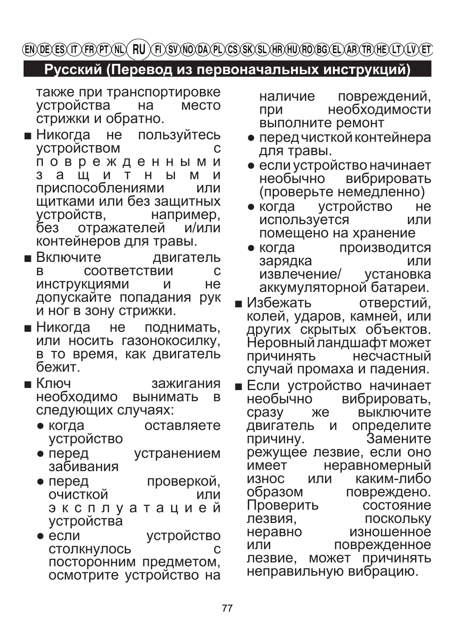### Русский (Перевод из первоначальных инструкций)

также при транспортировке устройства место на стрижки и обратно.

- $\blacksquare$  Никогда He пользуйтесь **УСТРОЙСТВОМ** поврежденными 3 а ш и T H  $H$ M И приспособлениями ИПИ щитками или без защитных УСТРОЙСТВ, например, без отражателей и/или контейнеров для травы.
- Включите двигатель R СООТВЕТСТВИИ C **ИНСТРУКЦИЯМИ** He и допускайте попадания рук и ног в зону стрижки.
- $\blacksquare$  Никогда поднимать, **He** или носить газонокосилку, в то время, как двигатель бежит.
- $\blacksquare$  Кпюч зажигания необходимо вынимать B следующих случаях:
	- когда оставляете устройство
	- перед устранением забивания
	- перед проверкой, ОЧИСТКОЙ ипи эксплуатацией устройства
	- если устройство **СТОЛКНУЛОСЬ**  $\mathsf{C}$ посторонним предметом, осмотрите устройство на

повреждений, наличие необходимости при выполните ремонт

- перед чисткой контейнера для травы.
- если устройство начинает необычно вибрировать (проверьте немедленно)
- когда **УСТРОЙСТВО** He. используется ИПИ помещено на хранение
- когда Производится зарядка или извлечение/ установка аккумуляторной батареи.
- $\blacksquare$  Избежать отверстий, колей, ударов, камней, или других скрытых объектов. Неровный ландшафт может Причинять несчастный случай промаха и падения.
- **ECЛИ УСТРОЙСТВО НАЧИНАЕТ** необычно вибрировать, сразу Жe **ВЫКЛЮЧИТЕ** двигатель и определите причину. Замените режущее лезвие, если оно неравномерный имеет каким-пибо **ИЗНОС** ипи образом повреждено. Проверить состояние лезвия. **ПОСКОЛЬКУ** неравно изношенное ипи поврежденное может лезвие, ПРИЧИНЯТЬ неправильную вибрацию.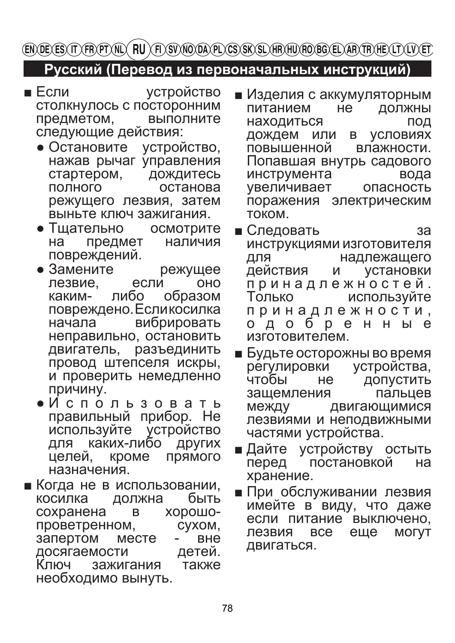### **Русский (Перевод из первоначальных инструкций)**

- Если устройство столкнулось с посторонним предметом, следующие действия:
	- Остановите устройство, нажав рычаг управления<br>стартером, дождитесь стартером,<br>полного полного останова режущего лезвия, затем выньте ключ зажигания.
	- Тщательно осмотрите на предмет повреждений.
	- Замените режущее<br>пезвие если оно лезвие, ес<br>каким- пибо образом повреждено. Если косилка<br>начала и вибрировать вибрировать неправильно, остановить двигатель, разъединить провод штепселя искры, и проверить немедленно причину.
	- И с п о л ь з о в а т ь правильный прибор. Не<br>используйте устройство используйте устройство<br>для каких-либо других для каких-либо<br>целей, кроме кроме прямого назначения.
- Когда не в использовании,<br>косилка и должна быть косилка должна быть<br>сохранена в хорошосохранена в проветренном, сухом, запертом месте - вне<br>досягаемости детей. досягаемости Ключ зажигания также необходимо вынуть.
- Изделия с аккумуляторным<br>питанием не должны питанием не должны<br>находиться под находиться<br>дождем или в условиях дождем или в условиях<br>повышенной влажности. повышенной Попавшая внутрь садового<br>инструмента инструмента инструмента вода<br>увеличивает опасность увеличивает поражения электрическим током.
- Следовать за инструкциями изготовителя<br>для надлежашего для надлежащего<br>действия и установки **установки** п р и н а д л е ж н о с т е й . используйте п р и н а д л е ж н о с т и , о д о б р е н н ы е изготовителем.
- Будьте осторожны во время<br>, регулировки устройства регулировки<br>чтобы не не допустить<br>ия пальцев защемления между двигающимися лезвиями и неподвижными частями устройства.
- Дайте устройству остыть<br>перед постановкой на перед постановкой хранение.
- При обслуживании лезвия имейте в виду, что даже если питание выключено,<br>лезвия все еще могут лезвия все двигаться.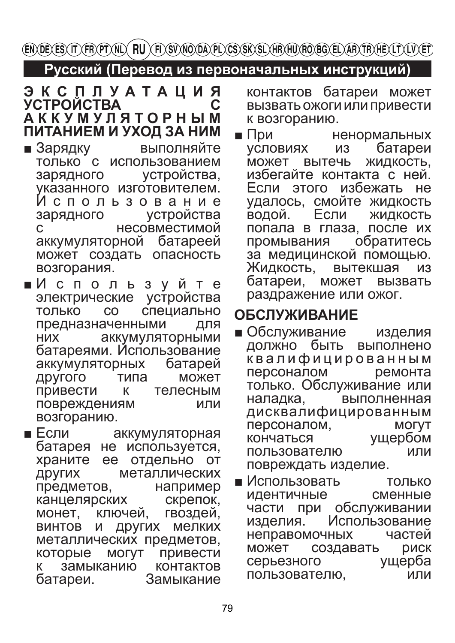**ENDEXES IT FRYPTALY RU AT SUNO DAYLY CS SK SLARAHURO BG ELARATRAE LT LUYET** 

### Русский (Перевод из первоначальных инструкций)

#### ЭКСПЛУАТАЦИЯ **УСТРОЙСТВА** C **AKKYMYJSTOPHЫM** ПИТАНИЕМ И УХОД ЗА НИМ

- $\blacksquare$  Зарядку выполняйте только с использованием устройства, зарядного указанного изготовителем. Использование устройства зарядного  $\overline{C}$ несовместимой аккумуляторной батареей может создать опасность возгорания.
- ■Используйте электрические устройства специально только  $CO$ предназначенными ДЛЯ **НИХ** аккумуляторными батареями. Использование батарей аккумуляторных другого типа может привести к тепесным повреждениям ИЛИ возгоранию.
- $E$  Если аккумуляторная батарея не используется, храните ее отдельно от металлических ДРУГИХ предметов, например скрепок. канцелярских монет, ключей, гвоздей, других мелких  $M$ ВИНТОВ металлических предметов, **MOFYT** привести которые контактов К замыканию Замыкание батареи.

контактов батареи может вызвать ожоги или привести к возгоранию.

 $\blacksquare$  При ненормальных батареи **УСЛОВИЯХ** ИЗ может вытечь ЖИДКОСТЬ. избегайте контакта с ней Если этого избежать не удалось, смойте жидкость водой. Если ЖИДКОСТЬ попала в глаза, после их промывания обратитесь за медицинской помощью. вытекшая Жидкость, батареи, может **ВЫЗВАТЬ** раздражение или ожог.

# **ОБСЛУЖИВАНИЕ**

- $\blacksquare$  Обслуживание изделия должно быть выполнено квалифицированным персоналом ремонта только. Обслуживание или выполненная наладка, дисквалифицированным персоналом, **МОГУТ** ущербом кончаться пользователю ИЛИ повреждать изделие.
- $\blacksquare$  Использовать ТОЛЬКО **идентичные** сменные при обслуживании части Использование изделия. неправомочных частей может создавать риск серьезного ущерба пользователю. ИЛИ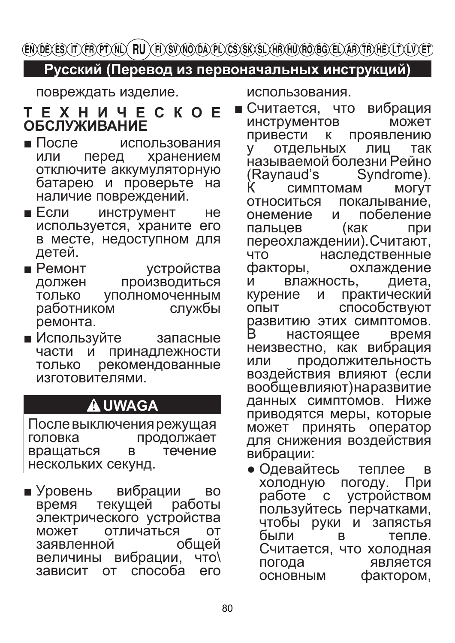ENDEXES IT VERYTYNIN FIU YFI SVNODAVEN GS SKYSLYHRHU ROBO ELYARYTR HEXLTYLVYET

## Русский (Перевод из первоначальных инструкций)

повреждать изделие.

### **TEXHUYECKOE ОБСЛУЖИВАНИЕ**

- $\blacksquare$  После использования хранением или перед отключите аккумуляторную батарею и проверьте на наличие повреждений.
- $\blacksquare$  Если инструмент He используется, храните его в месте, недоступном для детей.
- $P$ емонт устройства производиться должен уполномоченным ТОЛЬКО службы работником ремонта.
- Используйте запасные принадлежности части И рекомендованные ТОЛЬКО изготовителями.

# **A UWAGA**

После выключения режущая продолжает головка вращаться B течение нескольких секунд.

 $\blacksquare$  Уровень вибрации **BO** время текущей работы электрического устройства отличаться OT может общей заявленной вибрации,  $4TO<sub>2</sub>$ **В**еличины способа зависит OT его использования.

- $\blacksquare$  Считается. вибрация **YTO** может **ИНСТРУМЕНТОВ** проявлению привести К отдельных ЛИЦ так V. называемой болезни Рейно (Raynaud's Syndrome). Ķ **MOLVT СИМПТОМАМ** ОТНОСИТЬСЯ покалывание. онемение побеление И пальцев (как ПОИ переохлаждении). Считают, наследственные **UTO** факторы, охлаждение и влажность. диета. практический курение И способствуют ОПЫТ развитию этих симптомов. R. настояшее время неизвестно, как вибрация продолжительность ипи воздействия влияют (если вообщевлияют) наразвитие данных симптомов. Ниже приводятся меры, которые принять оператор может для снижения воздействия вибрации:
	- Одевайтесь теплее B погоду. ХОЛОДНУЮ При работе **УСТРОЙСТВОМ**  $\mathbf C$ пользуйтесь перчатками, чтобы руки и запястья были тепле. B Считается, что холодная погода является фактором, **ОСНОВНЫМ**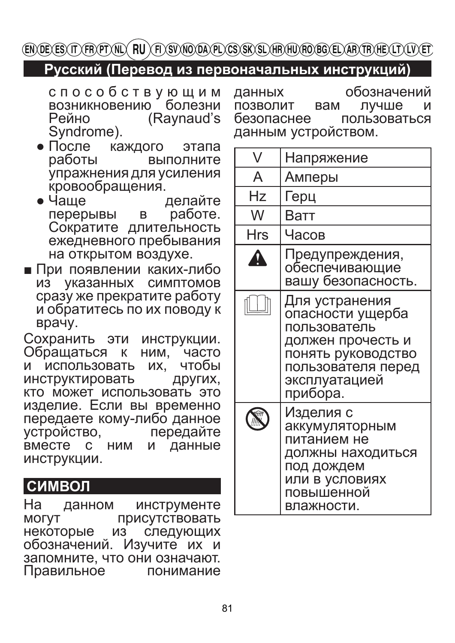### Русский (Перевод из первоначальных инструкций)

способствующим возникновению болезни (Raynaud's) Рейно Syndrome).

обозначений данных лучше ПОЗВОЛИТ вам и безопаснее **ПОЛЬЗОВАТЬСЯ** данным устройством.

- $\bullet$  После каждого этапа работы выполните упражнения для усиления кровообращения.
- $\bullet$  Чаше делайте перерывы работе. B Сократите длительность ежедневного пребывания на открытом воздухе.
- При появлении каких-либо из указанных симптомов сразу же прекратите работу и обратитесь по их поводу к врачу.

Сохранить эти инструкции. Обращаться к ним. часто чтобы использовать ИX. N инструктировать ДРУГИХ, кто может использовать это изделие. Если вы временно передаете кому-либо данное устройство. передайте BMECTE C НИМ данные и инструкции.

# **СИМВОЛ**

инструменте Ha данном **MOFYT** присутствовать некоторые из следующих обозначений. Изучите их и запомните, что они означают. Правильное понимание

| V                | Напряжение                                                                                                                                       |
|------------------|--------------------------------------------------------------------------------------------------------------------------------------------------|
| A                | Амперы                                                                                                                                           |
| Hz               | Герц                                                                                                                                             |
| W                | Ватт                                                                                                                                             |
| Hrs              | Часов                                                                                                                                            |
| $\blacktriangle$ | Предупреждения,<br>обеспечивающие<br>вашу безопасность.                                                                                          |
|                  | Для устранения<br>опасности ущерба<br>пользователь<br>должен прочесть и<br>понять руководство<br>пользователя перед<br>эксплуатацией<br>прибора. |
|                  | Изделия с<br>аккумуляторным<br>питанием не<br>должны находиться<br>под дождем<br>или в условиях<br>повышенной<br>влажности.                      |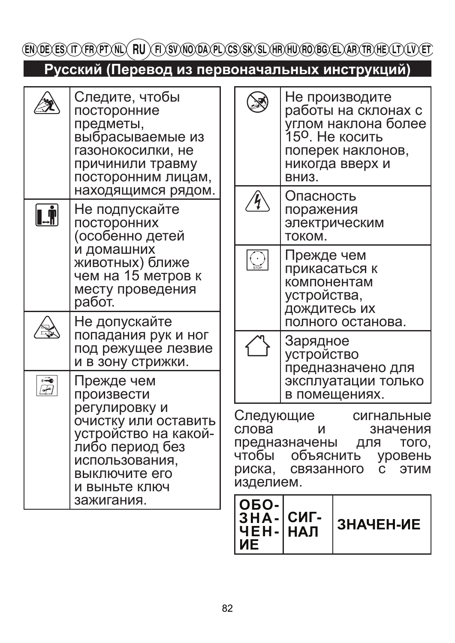EN DE ES IT FRYT NU (FI) ET SV NO DA PL CS SK SL HR HU RO BG EL AR TR HE LT LIV ET

Русский (Перевод из первоначальных инструкций)

|                        | либо период без<br>использования,<br>выключите его<br>И ВЫНЬТЕ КЛЮЧ<br>зажигания.                                                                   |  | чтобы<br>риска,<br>изделием.<br>ОБО-<br><b>3HA-</b>                                | объяснить<br>связанного<br>СИГ-                                           | уровень<br>$\mathbf{C}$<br>ЭТИМ<br>ЗНАЧЕН-ИЕ                                                                                        |  |
|------------------------|-----------------------------------------------------------------------------------------------------------------------------------------------------|--|------------------------------------------------------------------------------------|---------------------------------------------------------------------------|-------------------------------------------------------------------------------------------------------------------------------------|--|
|                        | регулировку и<br>очистку или оставить<br>устройство на какой-                                                                                       |  | Следующие<br>сигнальные<br>слова<br>значения<br>и<br>предназначены<br>ДЛЯ<br>того, |                                                                           |                                                                                                                                     |  |
| $\vec{\bar{F}}$        | Прежде чем<br>произвести                                                                                                                            |  |                                                                                    | в помещениях.                                                             | предназначено для<br>эксплуатации только                                                                                            |  |
|                        | Не допускайте<br>попадания рук и ног<br>под режущее лезвие<br>и в зону стрижки.                                                                     |  |                                                                                    | Зарядное<br>устройство                                                    | полного останова.                                                                                                                   |  |
|                        | и домашних<br>животных) ближе<br>чем на 15 метров к<br>месту проведения<br>работ.                                                                   |  | $\overline{\bigodot}$                                                              | Прежде чем<br>прикасаться к<br>компонентам<br>устройства,<br>дождитесь их |                                                                                                                                     |  |
| $\left[\right.\right]$ | Не подпускайте<br>посторонних<br>(особенно детей                                                                                                    |  | $\mathcal{\mathcal{H}}$                                                            | поражения<br>током.                                                       | электрическим                                                                                                                       |  |
|                        | Следите, чтобы<br>посторонние<br>предметы,<br>выбрасываемые из<br>газонокосилки, не<br>причинили травму<br>посторонним лицам,<br>находящимся рядом. |  |                                                                                    | ВНИЗ.<br>Опасность                                                        | Не производите<br>работы на склонах с<br>углом наклона более<br>15 <sup>0</sup> . Не косить<br>поперек наклонов,<br>никогда вверх и |  |

**VIE**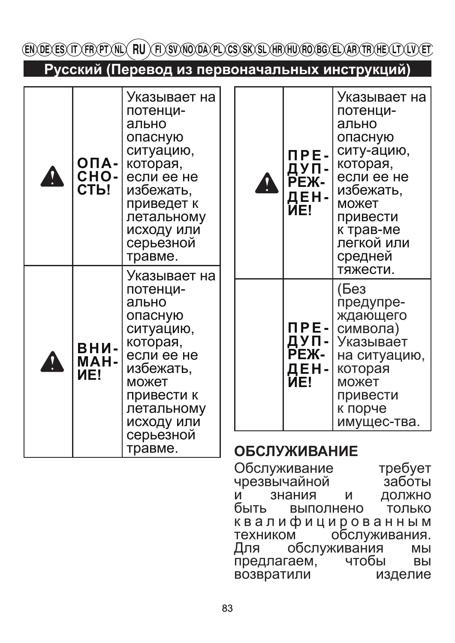| EN DE ES (T) FR)PT (NL) (FL) SV NO DA) PL (CS) SK SL) HR HU) RO BG EL) AR TR) HE (LT) LV (ET |                                     |                                                                                                                                                                    |  |                     |                                            |                                                                                                                                                                             |  |
|----------------------------------------------------------------------------------------------|-------------------------------------|--------------------------------------------------------------------------------------------------------------------------------------------------------------------|--|---------------------|--------------------------------------------|-----------------------------------------------------------------------------------------------------------------------------------------------------------------------------|--|
| Русский (Перевод из первоначальных инструкций)                                               |                                     |                                                                                                                                                                    |  |                     |                                            |                                                                                                                                                                             |  |
|                                                                                              | $OII -$<br>$CHO-$<br>СТЬ!           | Указывает на<br>потенци-<br>ально<br>опасную<br>ситуацию,<br>которая,<br>если ее не<br>избежать,<br>приведет к<br>летальному<br>исходу или<br>серьезной<br>травме. |  | A                   | <b>NPE-</b><br>ДУП-<br>РЕЖ-<br>ДЕН-<br>NE! | Указывает на<br>потенци-<br>ально<br>опасную<br>ситу-ацию,<br>которая,<br>если ее не<br>избежать,<br>может<br>привести<br>к трав-ме<br>легкой или<br>средней                |  |
|                                                                                              | $BHM-$<br><b>MAH-</b><br><b>NE!</b> | Указывает на<br>потенци-<br>ально<br>опасную<br>ситуацию,<br>которая,<br>если ее не<br>избежать,<br>может<br>привести к<br>летальному<br>исходу или<br>серьезной   |  |                     | <u> ДЕ</u> Н- <br>NE!                      | тяжести.<br>(Без<br>предупре-<br>ждающего<br>ПРЕ-   символа)<br>ДУП- Указывает<br>РЕЖ- на ситуаци<br>на ситуацию,<br>которая<br>может<br>привести<br>к порче<br>имущес-тва. |  |
|                                                                                              |                                     | травме.                                                                                                                                                            |  | <b>ОБСЛУЖИВАНИЕ</b> |                                            |                                                                                                                                                                             |  |

Обслуживание<br>чрезвычайной требует<br>заботы иİ знания ДОЛЖНО И быть выполнено только квалифицированным обслуживания. техником Для обслуживания МЫ предлагаем, чтобы ВЫ возвратили изделие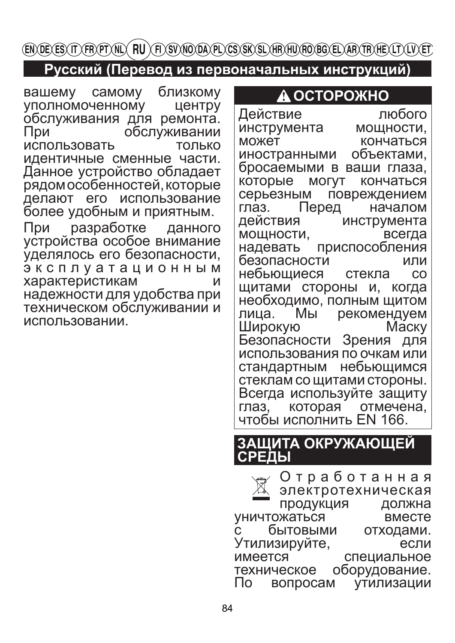### Русский (Перевод из первоначальных инструкций)

близкому вашему самому уполномоченному центру обслуживания для ремонта. обслуживании I Ipu использовать ТОЛЬКО идентичные сменные части. Данное устройство обладает рядом особенностей, которые делают его использование более удобным и приятным. разработке При данного устройства особое внимание уделялось его безопасности, эксплуатационным характеристикам  $\overline{M}$ надежности для удобства при техническом обслуживании и

использовании.

### А ОСТОРОЖНО

Действие любого инструмента мощности, может кончаться объектами, иностранными бросаемыми в ваши глаза, которые МОГУТ кончаться серьезным повреждением Перед глаз. началом действия инструмента мощности, всегда приспособления надевать безопасности или небьющиеся  $CO$ стекла щитами стороны и, когда необходимо, полным щитом лица. рекомендуем Мы Широкую Маску Безопасности Зрения для использования по очкам или небьющимся стандартным стеклам со щитами стороны. Всегда используйте защиту глаз. которая отмечена, чтобы исполнить EN 166.

### ЗАЩИТА ОКРУЖАЮЩЕЙ СРЕДЫ

Отработанная электротехническая продукция должна уничтожаться вместе бытовыми отходами.  $\mathsf{C}$ Утилизируйте, если имеется специальное техническое оборудование. утилизации вопросам Πo